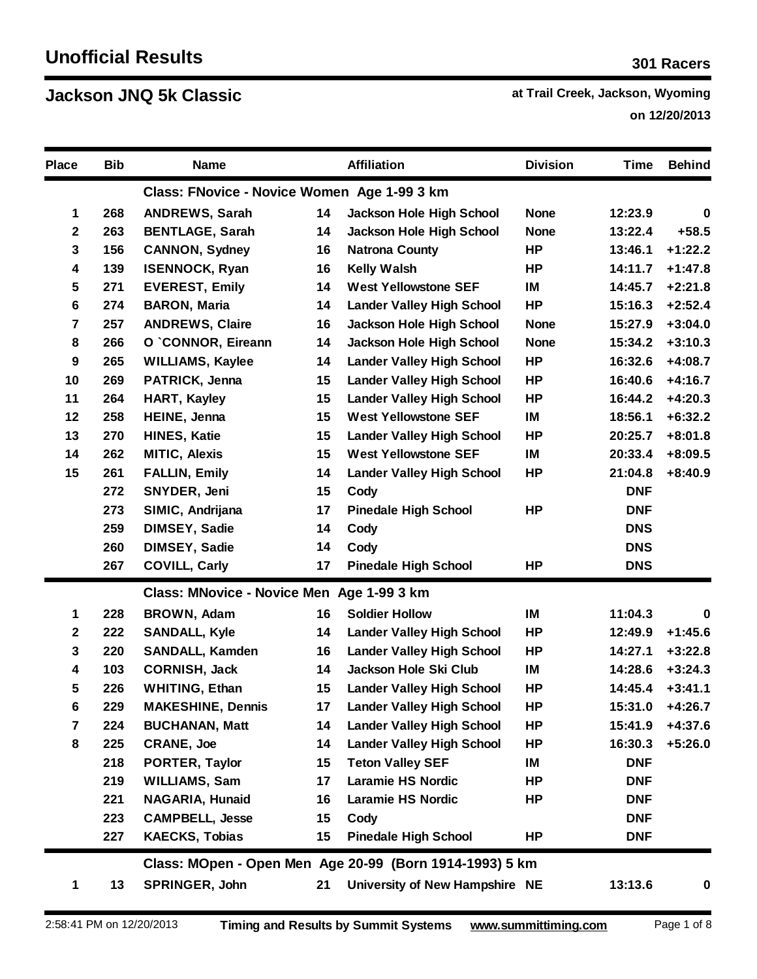**Jackson JNQ 5k Classic Attenuate 1 at Trail Creek, Jackson, Wyoming last Creek**, Jackson, Wyoming

 **on 12/20/2013**

| <b>Place</b>   | <b>Bib</b> | <b>Name</b>                                 |    | <b>Affiliation</b>                                      | <b>Division</b> | <b>Time</b> | <b>Behind</b> |
|----------------|------------|---------------------------------------------|----|---------------------------------------------------------|-----------------|-------------|---------------|
|                |            | Class: FNovice - Novice Women Age 1-99 3 km |    |                                                         |                 |             |               |
| 1              | 268        | <b>ANDREWS, Sarah</b>                       | 14 | Jackson Hole High School                                | <b>None</b>     | 12:23.9     | 0             |
| $\mathbf{2}$   | 263        | <b>BENTLAGE, Sarah</b>                      | 14 | Jackson Hole High School                                | <b>None</b>     | 13:22.4     | $+58.5$       |
| $\mathbf 3$    | 156        | <b>CANNON, Sydney</b>                       | 16 | <b>Natrona County</b>                                   | <b>HP</b>       | 13:46.1     | $+1:22.2$     |
| 4              | 139        | <b>ISENNOCK, Ryan</b>                       | 16 | <b>Kelly Walsh</b>                                      | HP              | 14:11.7     | $+1:47.8$     |
| 5              | 271        | <b>EVEREST, Emily</b>                       | 14 | <b>West Yellowstone SEF</b>                             | IM              | 14:45.7     | $+2:21.8$     |
| 6              | 274        | <b>BARON, Maria</b>                         | 14 | <b>Lander Valley High School</b>                        | <b>HP</b>       | 15:16.3     | $+2:52.4$     |
| 7              | 257        | <b>ANDREWS, Claire</b>                      | 16 | Jackson Hole High School                                | <b>None</b>     | 15:27.9     | $+3:04.0$     |
| 8              | 266        | O `CONNOR, Eireann                          | 14 | <b>Jackson Hole High School</b>                         | <b>None</b>     | 15:34.2     | $+3:10.3$     |
| 9              | 265        | <b>WILLIAMS, Kaylee</b>                     | 14 | <b>Lander Valley High School</b>                        | <b>HP</b>       | 16:32.6     | $+4:08.7$     |
| 10             | 269        | PATRICK, Jenna                              | 15 | <b>Lander Valley High School</b>                        | <b>HP</b>       | 16:40.6     | $+4:16.7$     |
| 11             | 264        | <b>HART, Kayley</b>                         | 15 | <b>Lander Valley High School</b>                        | <b>HP</b>       | 16:44.2     | $+4:20.3$     |
| 12             | 258        | HEINE, Jenna                                | 15 | <b>West Yellowstone SEF</b>                             | IM              | 18:56.1     | $+6:32.2$     |
| 13             | 270        | <b>HINES, Katie</b>                         | 15 | <b>Lander Valley High School</b>                        | <b>HP</b>       | 20:25.7     | $+8:01.8$     |
| 14             | 262        | <b>MITIC, Alexis</b>                        | 15 | <b>West Yellowstone SEF</b>                             | IM              | 20:33.4     | $+8:09.5$     |
| 15             | 261        | <b>FALLIN, Emily</b>                        | 14 | <b>Lander Valley High School</b>                        | <b>HP</b>       | 21:04.8     | $+8:40.9$     |
|                | 272        | SNYDER, Jeni                                | 15 | Cody                                                    |                 | <b>DNF</b>  |               |
|                | 273        | SIMIC, Andrijana                            | 17 | <b>Pinedale High School</b>                             | HP              | <b>DNF</b>  |               |
|                | 259        | DIMSEY, Sadie                               | 14 | Cody                                                    |                 | <b>DNS</b>  |               |
|                | 260        | <b>DIMSEY, Sadie</b>                        | 14 | Cody                                                    |                 | <b>DNS</b>  |               |
|                | 267        | <b>COVILL, Carly</b>                        | 17 | <b>Pinedale High School</b>                             | HP              | <b>DNS</b>  |               |
|                |            | Class: MNovice - Novice Men Age 1-99 3 km   |    |                                                         |                 |             |               |
| 1              | 228        | BROWN, Adam                                 | 16 | <b>Soldier Hollow</b>                                   | IM              | 11:04.3     | $\bf{0}$      |
| $\mathbf 2$    | 222        | <b>SANDALL, Kyle</b>                        | 14 | <b>Lander Valley High School</b>                        | <b>HP</b>       | 12:49.9     | $+1:45.6$     |
| $\mathbf 3$    | 220        | <b>SANDALL, Kamden</b>                      | 16 | <b>Lander Valley High School</b>                        | <b>HP</b>       | 14:27.1     | $+3:22.8$     |
| 4              | 103        | <b>CORNISH, Jack</b>                        | 14 | Jackson Hole Ski Club                                   | IM              | 14:28.6     | $+3:24.3$     |
| 5              | 226        | <b>WHITING, Ethan</b>                       | 15 | <b>Lander Valley High School</b>                        | HP              | 14:45.4     | $+3:41.1$     |
| 6              | 229        | <b>MAKESHINE, Dennis</b>                    | 17 | <b>Lander Valley High School</b>                        | <b>HP</b>       | 15:31.0     | $+4:26.7$     |
| $\overline{7}$ | 224        | <b>BUCHANAN, Matt</b>                       | 14 | <b>Lander Valley High School</b>                        | HP              | 15:41.9     | $+4:37.6$     |
| 8              | 225        | <b>CRANE, Joe</b>                           | 14 | <b>Lander Valley High School</b>                        | HP              | 16:30.3     | $+5:26.0$     |
|                | 218        | PORTER, Taylor                              | 15 | <b>Teton Valley SEF</b>                                 | IM              | <b>DNF</b>  |               |
|                | 219        | <b>WILLIAMS, Sam</b>                        | 17 | <b>Laramie HS Nordic</b>                                | HP              | <b>DNF</b>  |               |
|                | 221        | <b>NAGARIA, Hunaid</b>                      | 16 | <b>Laramie HS Nordic</b>                                | HP              | <b>DNF</b>  |               |
|                | 223        | <b>CAMPBELL, Jesse</b>                      | 15 | Cody                                                    |                 | <b>DNF</b>  |               |
|                | 227        | <b>KAECKS, Tobias</b>                       | 15 | <b>Pinedale High School</b>                             | HP              | <b>DNF</b>  |               |
|                |            |                                             |    | Class: MOpen - Open Men Age 20-99 (Born 1914-1993) 5 km |                 |             |               |
| 1              | 13         | SPRINGER, John                              | 21 | University of New Hampshire NE                          |                 | 13:13.6     | $\bf{0}$      |
|                |            |                                             |    |                                                         |                 |             |               |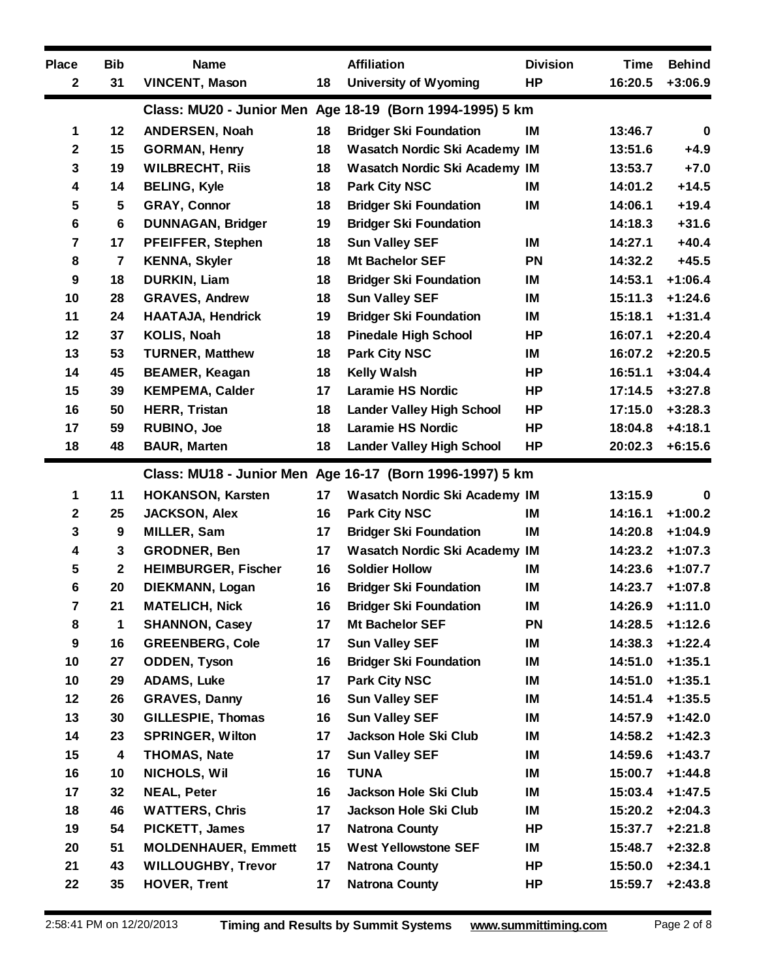| <b>Place</b>            | <b>Bib</b>       | <b>Name</b>                |        | <b>Affiliation</b>                                       | <b>Division</b> | <b>Time</b> | <b>Behind</b> |
|-------------------------|------------------|----------------------------|--------|----------------------------------------------------------|-----------------|-------------|---------------|
| $\mathbf 2$             | 31               | <b>VINCENT, Mason</b>      | 18     | <b>University of Wyoming</b>                             | HP              | 16:20.5     | $+3:06.9$     |
|                         |                  |                            |        | Class: MU20 - Junior Men Age 18-19 (Born 1994-1995) 5 km |                 |             |               |
| 1                       | 12               | ANDERSEN, Noah             | 18     | <b>Bridger Ski Foundation</b>                            | IM              | 13:46.7     | $\mathbf 0$   |
| $\mathbf 2$             | 15               | <b>GORMAN, Henry</b>       | 18     | Wasatch Nordic Ski Academy IM                            |                 | 13:51.6     | $+4.9$        |
| 3                       | 19               | <b>WILBRECHT, Riis</b>     | 18     | <b>Wasatch Nordic Ski Academy IM</b>                     |                 | 13:53.7     | $+7.0$        |
| 4                       | 14               | <b>BELING, Kyle</b>        | 18     | <b>Park City NSC</b>                                     | IM              | 14:01.2     | $+14.5$       |
| 5                       | $5\phantom{.0}$  | <b>GRAY, Connor</b>        | 18     | <b>Bridger Ski Foundation</b>                            | IM              | 14:06.1     | $+19.4$       |
| 6                       | 6                | <b>DUNNAGAN, Bridger</b>   | 19     | <b>Bridger Ski Foundation</b>                            |                 | 14:18.3     | $+31.6$       |
| $\overline{\mathbf{7}}$ | 17               | PFEIFFER, Stephen          | 18     | <b>Sun Valley SEF</b>                                    | IM              | 14:27.1     | $+40.4$       |
| 8                       | $\overline{7}$   | <b>KENNA, Skyler</b>       | 18     | <b>Mt Bachelor SEF</b>                                   | <b>PN</b>       | 14:32.2     | $+45.5$       |
| 9                       | 18               | <b>DURKIN, Liam</b>        | 18     | <b>Bridger Ski Foundation</b>                            | IM              | 14:53.1     | $+1:06.4$     |
| 10                      | 28               | <b>GRAVES, Andrew</b>      | 18     | <b>Sun Valley SEF</b>                                    | IM              | 15:11.3     | $+1:24.6$     |
| 11                      | 24               | <b>HAATAJA, Hendrick</b>   | 19     | <b>Bridger Ski Foundation</b>                            | IM              | 15:18.1     | $+1:31.4$     |
| 12                      | 37               | KOLIS, Noah                | 18     | <b>Pinedale High School</b>                              | HP              | 16:07.1     | $+2:20.4$     |
| 13                      | 53               | <b>TURNER, Matthew</b>     | 18     | <b>Park City NSC</b>                                     | IM              | 16:07.2     | $+2:20.5$     |
| 14                      | 45               | <b>BEAMER, Keagan</b>      | 18     | <b>Kelly Walsh</b>                                       | <b>HP</b>       | 16:51.1     | $+3:04.4$     |
| 15                      | 39               | <b>KEMPEMA, Calder</b>     | 17     | <b>Laramie HS Nordic</b>                                 | HР              | 17:14.5     | $+3:27.8$     |
| 16                      | 50               | <b>HERR, Tristan</b>       | 18     | <b>Lander Valley High School</b>                         | <b>HP</b>       | 17:15.0     | $+3:28.3$     |
| 17                      | 59               | RUBINO, Joe                | 18     | <b>Laramie HS Nordic</b>                                 | HP              | 18:04.8     | $+4:18.1$     |
| 18                      | 48               | <b>BAUR, Marten</b>        | 18     | <b>Lander Valley High School</b>                         | <b>HP</b>       | 20:02.3     | $+6:15.6$     |
|                         |                  |                            |        | Class: MU18 - Junior Men Age 16-17 (Born 1996-1997) 5 km |                 |             |               |
| 1                       | 11               | <b>HOKANSON, Karsten</b>   | 17     | <b>Wasatch Nordic Ski Academy IM</b>                     |                 | 13:15.9     | $\mathbf 0$   |
| $\mathbf 2$             | 25               | <b>JACKSON, Alex</b>       | 16     | <b>Park City NSC</b>                                     | IM              | 14:16.1     | $+1:00.2$     |
| 3                       | $\boldsymbol{9}$ | MILLER, Sam                | 17     | <b>Bridger Ski Foundation</b>                            | IM              | 14:20.8     | $+1:04.9$     |
| 4                       | $\mathbf 3$      | GRODNER, Ben               | 17     | <b>Wasatch Nordic Ski Academy IM</b>                     |                 | 14:23.2     | $+1:07.3$     |
| 5                       | $\boldsymbol{2}$ | <b>HEIMBURGER, Fischer</b> | 16     | <b>Soldier Hollow</b>                                    | IM              | 14:23.6     | $+1:07.7$     |
| 6                       | 20               | DIEKMANN, Logan            | 16     | <b>Bridger Ski Foundation</b>                            | IM              | 14:23.7     | $+1:07.8$     |
| 7                       | 21               | <b>MATELICH, Nick</b>      | 16     | <b>Bridger Ski Foundation</b>                            | IM              | 14:26.9     | $+1:11.0$     |
| 8                       | 1                | <b>SHANNON, Casey</b>      | 17     | Mt Bachelor SEF                                          | <b>PN</b>       | 14:28.5     | $+1:12.6$     |
| 9                       | 16               | <b>GREENBERG, Cole</b>     | 17     | <b>Sun Valley SEF</b>                                    | IM              | 14:38.3     | $+1:22.4$     |
| 10                      | 27               | <b>ODDEN, Tyson</b>        | 16     | <b>Bridger Ski Foundation</b>                            | IM              | 14:51.0     | $+1:35.1$     |
| 10                      | 29               | <b>ADAMS, Luke</b>         | 17     | <b>Park City NSC</b>                                     | IM              | 14:51.0     | $+1:35.1$     |
| 12                      | 26               | <b>GRAVES, Danny</b>       | 16     | <b>Sun Valley SEF</b>                                    | IM              | 14:51.4     | $+1:35.5$     |
| 13                      | 30               | <b>GILLESPIE, Thomas</b>   | 16     | <b>Sun Valley SEF</b>                                    | IM              | 14:57.9     | $+1:42.0$     |
| 14                      | 23               | <b>SPRINGER, Wilton</b>    | 17     | Jackson Hole Ski Club                                    | IM              | 14:58.2     | $+1:42.3$     |
| 15                      | 4                | <b>THOMAS, Nate</b>        | 17     | <b>Sun Valley SEF</b>                                    | IM              | 14:59.6     | $+1:43.7$     |
| 16                      | 10               | NICHOLS, Wil               | 16     | <b>TUNA</b>                                              | IM              | 15:00.7     | $+1:44.8$     |
| 17                      | 32               | <b>NEAL, Peter</b>         | 16     | Jackson Hole Ski Club                                    | IM              | 15:03.4     | $+1:47.5$     |
| 18                      | 46               | <b>WATTERS, Chris</b>      | 17     | Jackson Hole Ski Club                                    | IM              | 15:20.2     | $+2:04.3$     |
| 19                      | 54               | PICKETT, James             | 17     | <b>Natrona County</b>                                    | HP              | 15:37.7     | $+2:21.8$     |
| 20                      | 51               | <b>MOLDENHAUER, Emmett</b> | $15\,$ | <b>West Yellowstone SEF</b>                              | IM              | 15:48.7     | $+2:32.8$     |
| 21                      | 43               | <b>WILLOUGHBY, Trevor</b>  | 17     | <b>Natrona County</b>                                    | HP              | 15:50.0     | $+2:34.1$     |
| 22                      | 35               | <b>HOVER, Trent</b>        | 17     | <b>Natrona County</b>                                    | HP              | 15:59.7     | $+2:43.8$     |
|                         |                  |                            |        |                                                          |                 |             |               |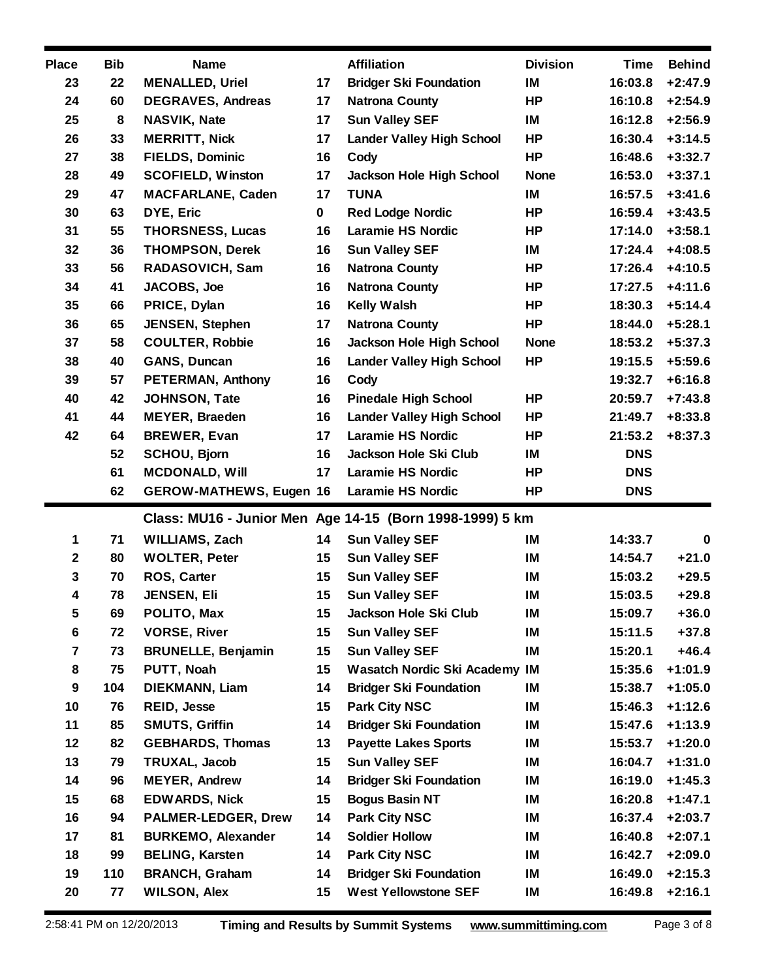| <b>Place</b>            | <b>Bib</b> | <b>Name</b>                           |             | <b>Affiliation</b>                                       | <b>Division</b> | <b>Time</b>        | <b>Behind</b>          |
|-------------------------|------------|---------------------------------------|-------------|----------------------------------------------------------|-----------------|--------------------|------------------------|
| 23                      | 22         | <b>MENALLED, Uriel</b>                | 17          | <b>Bridger Ski Foundation</b>                            | IM              | 16:03.8            | $+2:47.9$              |
| 24                      | 60         | <b>DEGRAVES, Andreas</b>              | 17          | <b>Natrona County</b>                                    | <b>HP</b>       | 16:10.8            | $+2:54.9$              |
| 25                      | 8          | <b>NASVIK, Nate</b>                   | 17          | <b>Sun Valley SEF</b>                                    | IM              | 16:12.8            | $+2:56.9$              |
| 26                      | 33         | <b>MERRITT, Nick</b>                  | 17          | <b>Lander Valley High School</b>                         | HP              | 16:30.4            | $+3:14.5$              |
| 27                      | 38         | <b>FIELDS, Dominic</b>                | 16          | Cody                                                     | <b>HP</b>       | 16:48.6            | $+3:32.7$              |
| 28                      | 49         | <b>SCOFIELD, Winston</b>              | 17          | Jackson Hole High School                                 | <b>None</b>     | 16:53.0            | $+3:37.1$              |
| 29                      | 47         | <b>MACFARLANE, Caden</b>              | 17          | <b>TUNA</b>                                              | IM              | 16:57.5            | $+3:41.6$              |
| 30                      | 63         | DYE, Eric                             | $\mathbf 0$ | <b>Red Lodge Nordic</b>                                  | HP              | 16:59.4            | $+3:43.5$              |
| 31                      | 55         | <b>THORSNESS, Lucas</b>               | 16          | <b>Laramie HS Nordic</b>                                 | HP              | 17:14.0            | $+3:58.1$              |
| 32                      | 36         | <b>THOMPSON, Derek</b>                | 16          | <b>Sun Valley SEF</b>                                    | IM              | 17:24.4            | $+4:08.5$              |
| 33                      | 56         | RADASOVICH, Sam                       | 16          | <b>Natrona County</b>                                    | HP              | 17:26.4            | $+4:10.5$              |
| 34                      | 41         | JACOBS, Joe                           | 16          | <b>Natrona County</b>                                    | HP              | 17:27.5            | $+4:11.6$              |
| 35                      | 66         | PRICE, Dylan                          | 16          | <b>Kelly Walsh</b>                                       | HP              | 18:30.3            | $+5:14.4$              |
| 36                      | 65         | <b>JENSEN, Stephen</b>                | 17          | <b>Natrona County</b>                                    | HP              | 18:44.0            | $+5:28.1$              |
| 37                      | 58         | <b>COULTER, Robbie</b>                | 16          | <b>Jackson Hole High School</b>                          | <b>None</b>     | 18:53.2            | $+5:37.3$              |
| 38                      | 40         | <b>GANS, Duncan</b>                   | 16          | <b>Lander Valley High School</b>                         | HP              | 19:15.5            | $+5:59.6$              |
| 39                      | 57         | <b>PETERMAN, Anthony</b>              | 16          | Cody                                                     |                 | 19:32.7            | $+6:16.8$              |
| 40                      | 42         | JOHNSON, Tate                         | 16          | <b>Pinedale High School</b>                              | HP              | 20:59.7            | $+7:43.8$              |
| 41                      | 44         | <b>MEYER, Braeden</b>                 | 16          | <b>Lander Valley High School</b>                         | HP              | 21:49.7            | $+8:33.8$              |
| 42                      | 64         | <b>BREWER, Evan</b>                   | 17          | <b>Laramie HS Nordic</b>                                 | HP              | 21:53.2            | $+8:37.3$              |
|                         | 52         | <b>SCHOU, Bjorn</b>                   | 16          | Jackson Hole Ski Club                                    | IM              | <b>DNS</b>         |                        |
|                         | 61         | <b>MCDONALD, Will</b>                 | 17          | <b>Laramie HS Nordic</b>                                 | HP              | <b>DNS</b>         |                        |
|                         | 62         | <b>GEROW-MATHEWS, Eugen 16</b>        |             | <b>Laramie HS Nordic</b>                                 | HP              | <b>DNS</b>         |                        |
|                         |            |                                       |             | Class: MU16 - Junior Men Age 14-15 (Born 1998-1999) 5 km |                 |                    |                        |
| 1                       | 71         | WILLIAMS, Zach                        | 14          | <b>Sun Valley SEF</b>                                    | IM              | 14:33.7            | $\mathbf 0$            |
| $\mathbf{2}$            | 80         | <b>WOLTER, Peter</b>                  | 15          | <b>Sun Valley SEF</b>                                    | IM              | 14:54.7            | $+21.0$                |
| $\mathbf 3$             | 70         | ROS, Carter                           | 15          | <b>Sun Valley SEF</b>                                    | IM              | 15:03.2            | $+29.5$                |
| $\overline{\mathbf{4}}$ | 78         | JENSEN, Eli                           | 15          | <b>Sun Valley SEF</b>                                    | IM              | 15:03.5            | $+29.8$                |
| $\sqrt{5}$              | 69         | POLITO, Max                           | 15          | Jackson Hole Ski Club                                    | IM              | 15:09.7            | $+36.0$                |
| $6\phantom{a}$          | 72         | <b>VORSE, River</b>                   | 15          | <b>Sun Valley SEF</b>                                    | IM              | 15:11.5            | $+37.8$                |
| $\overline{7}$          | 73         | <b>BRUNELLE, Benjamin</b>             | 15          | <b>Sun Valley SEF</b>                                    | IM              | 15:20.1            | $+46.4$                |
| 8                       | 75         | PUTT, Noah                            | 15          | <b>Wasatch Nordic Ski Academy</b>                        | IM              | 15:35.6            | $+1:01.9$              |
| 9                       | 104        |                                       |             |                                                          |                 |                    | $+1:05.0$              |
| 10                      |            | <b>DIEKMANN, Liam</b>                 | 14          | <b>Bridger Ski Foundation</b>                            | IM              | 15:38.7            |                        |
| 11                      | 76         | <b>REID, Jesse</b>                    | 15          | <b>Park City NSC</b>                                     | IM              | 15:46.3            | $+1:12.6$              |
|                         | 85         | <b>SMUTS, Griffin</b>                 | 14          | <b>Bridger Ski Foundation</b>                            | IM              | 15:47.6            | $+1:13.9$              |
| 12                      | 82         | <b>GEBHARDS, Thomas</b>               | 13          | <b>Payette Lakes Sports</b>                              | IM              | 15:53.7            | +1:20.0                |
| 13                      | 79         |                                       | 15          | <b>Sun Valley SEF</b>                                    | IM              |                    |                        |
| 14                      | 96         | TRUXAL, Jacob<br><b>MEYER, Andrew</b> | 14          | <b>Bridger Ski Foundation</b>                            | IM              | 16:04.7<br>16:19.0 | $+1:31.0$<br>$+1:45.3$ |
| 15                      | 68         | <b>EDWARDS, Nick</b>                  | 15          | <b>Bogus Basin NT</b>                                    | IM              | 16:20.8            | $+1:47.1$              |
| 16                      | 94         | <b>PALMER-LEDGER, Drew</b>            | 14          | <b>Park City NSC</b>                                     | IM              | 16:37.4            | $+2:03.7$              |
| 17                      | 81         | <b>BURKEMO, Alexander</b>             | 14          | <b>Soldier Hollow</b>                                    | IM              | 16:40.8            | $+2:07.1$              |
| 18                      | 99         | <b>BELING, Karsten</b>                | 14          | <b>Park City NSC</b>                                     | IM              | 16:42.7            | $+2:09.0$              |
| 19                      | 110        | <b>BRANCH, Graham</b>                 | 14          | <b>Bridger Ski Foundation</b>                            | IM              | 16:49.0            | $+2:15.3$              |
| 20                      | 77         | <b>WILSON, Alex</b>                   | 15          | <b>West Yellowstone SEF</b>                              | IM              | 16:49.8            | $+2:16.1$              |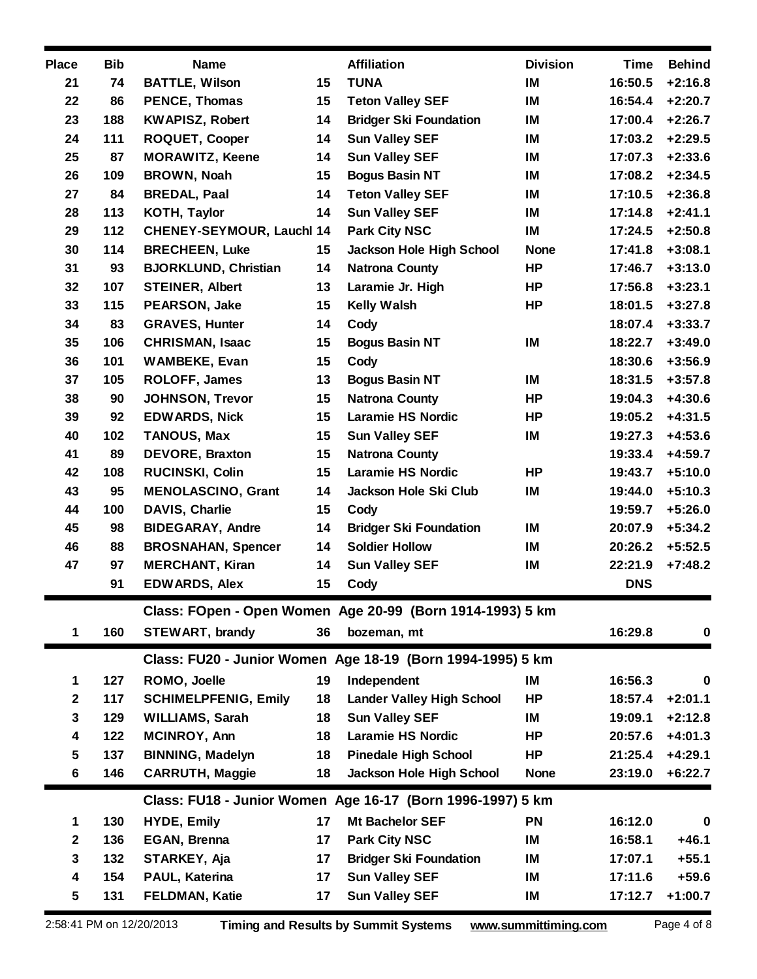| <b>Place</b> | <b>Bib</b> | <b>Name</b>                 |    | <b>Affiliation</b>                                         | <b>Division</b> | <b>Time</b> | <b>Behind</b> |
|--------------|------------|-----------------------------|----|------------------------------------------------------------|-----------------|-------------|---------------|
| 21           | 74         | <b>BATTLE, Wilson</b>       | 15 | <b>TUNA</b>                                                | IM              | 16:50.5     | $+2:16.8$     |
| 22           | 86         | <b>PENCE, Thomas</b>        | 15 | <b>Teton Valley SEF</b>                                    | IM              | 16:54.4     | $+2:20.7$     |
| 23           | 188        | <b>KWAPISZ, Robert</b>      | 14 | <b>Bridger Ski Foundation</b>                              | IM              | 17:00.4     | $+2:26.7$     |
| 24           | 111        | <b>ROQUET, Cooper</b>       | 14 | <b>Sun Valley SEF</b>                                      | IM              | 17:03.2     | $+2:29.5$     |
| 25           | 87         | <b>MORAWITZ, Keene</b>      | 14 | <b>Sun Valley SEF</b>                                      | IM              | 17:07.3     | $+2:33.6$     |
| 26           | 109        | BROWN, Noah                 | 15 | <b>Bogus Basin NT</b>                                      | IM              | 17:08.2     | $+2:34.5$     |
| 27           | 84         | <b>BREDAL, Paal</b>         | 14 | <b>Teton Valley SEF</b>                                    | IM              | 17:10.5     | $+2:36.8$     |
| 28           | 113        | <b>KOTH, Taylor</b>         | 14 | <b>Sun Valley SEF</b>                                      | IM              | 17:14.8     | $+2:41.1$     |
| 29           | 112        | CHENEY-SEYMOUR, Lauchl 14   |    | <b>Park City NSC</b>                                       | IM              | 17:24.5     | $+2:50.8$     |
| 30           | 114        | <b>BRECHEEN, Luke</b>       | 15 | <b>Jackson Hole High School</b>                            | <b>None</b>     | 17:41.8     | $+3:08.1$     |
| 31           | 93         | <b>BJORKLUND, Christian</b> | 14 | <b>Natrona County</b>                                      | <b>HP</b>       | 17:46.7     | $+3:13.0$     |
| 32           | 107        | <b>STEINER, Albert</b>      | 13 | Laramie Jr. High                                           | HP              | 17:56.8     | $+3:23.1$     |
| 33           | 115        | PEARSON, Jake               | 15 | <b>Kelly Walsh</b>                                         | <b>HP</b>       | 18:01.5     | $+3:27.8$     |
| 34           | 83         | <b>GRAVES, Hunter</b>       | 14 | Cody                                                       |                 | 18:07.4     | $+3:33.7$     |
| 35           | 106        | <b>CHRISMAN, Isaac</b>      | 15 | <b>Bogus Basin NT</b>                                      | IM              | 18:22.7     | $+3:49.0$     |
| 36           | 101        | <b>WAMBEKE, Evan</b>        | 15 | Cody                                                       |                 | 18:30.6     | $+3:56.9$     |
| 37           | 105        | <b>ROLOFF, James</b>        | 13 | <b>Bogus Basin NT</b>                                      | IM              | 18:31.5     | $+3:57.8$     |
| 38           | 90         | <b>JOHNSON, Trevor</b>      | 15 | <b>Natrona County</b>                                      | HP              | 19:04.3     | $+4:30.6$     |
| 39           | 92         | <b>EDWARDS, Nick</b>        | 15 | <b>Laramie HS Nordic</b>                                   | <b>HP</b>       | 19:05.2     | $+4:31.5$     |
| 40           | 102        | <b>TANOUS, Max</b>          | 15 | <b>Sun Valley SEF</b>                                      | IM              | 19:27.3     | $+4:53.6$     |
| 41           | 89         | <b>DEVORE, Braxton</b>      | 15 | <b>Natrona County</b>                                      |                 | 19:33.4     | $+4:59.7$     |
| 42           | 108        | RUCINSKI, Colin             | 15 | <b>Laramie HS Nordic</b>                                   | <b>HP</b>       | 19:43.7     | $+5:10.0$     |
| 43           | 95         | <b>MENOLASCINO, Grant</b>   | 14 | Jackson Hole Ski Club                                      | IM              | 19:44.0     | $+5:10.3$     |
| 44           | 100        | DAVIS, Charlie              | 15 | Cody                                                       |                 | 19:59.7     | $+5:26.0$     |
| 45           | 98         | <b>BIDEGARAY, Andre</b>     | 14 | <b>Bridger Ski Foundation</b>                              | IM              | 20:07.9     | $+5:34.2$     |
| 46           | 88         | <b>BROSNAHAN, Spencer</b>   | 14 | <b>Soldier Hollow</b>                                      | IM              | 20:26.2     | $+5:52.5$     |
| 47           | 97         | <b>MERCHANT, Kiran</b>      | 14 | <b>Sun Valley SEF</b>                                      | IM              | 22:21.9     | $+7:48.2$     |
|              | 91         | <b>EDWARDS, Alex</b>        | 15 | Cody                                                       |                 | <b>DNS</b>  |               |
|              |            |                             |    | Class: FOpen - Open Women Age 20-99 (Born 1914-1993) 5 km  |                 |             |               |
| 1            | 160        | <b>STEWART, brandy</b>      | 36 | bozeman, mt                                                |                 | 16:29.8     | $\bf{0}$      |
|              |            |                             |    |                                                            |                 |             |               |
|              |            |                             |    | Class: FU20 - Junior Women Age 18-19 (Born 1994-1995) 5 km |                 |             |               |
| 1            | 127        | ROMO, Joelle                | 19 | Independent                                                | IM              | 16:56.3     | $\mathbf 0$   |
| $\mathbf 2$  | 117        | <b>SCHIMELPFENIG, Emily</b> | 18 | <b>Lander Valley High School</b>                           | <b>HP</b>       | 18:57.4     | $+2:01.1$     |
| 3            | 129        | <b>WILLIAMS, Sarah</b>      | 18 | <b>Sun Valley SEF</b>                                      | IM              | 19:09.1     | $+2:12.8$     |
| 4            | 122        | MCINROY, Ann                | 18 | <b>Laramie HS Nordic</b>                                   | HP              | 20:57.6     | $+4:01.3$     |
| 5            | 137        | <b>BINNING, Madelyn</b>     | 18 | <b>Pinedale High School</b>                                | HP              | 21:25.4     | $+4:29.1$     |
| 6            | 146        | <b>CARRUTH, Maggie</b>      | 18 | Jackson Hole High School                                   | <b>None</b>     | 23:19.0     | $+6:22.7$     |
|              |            |                             |    | Class: FU18 - Junior Women Age 16-17 (Born 1996-1997) 5 km |                 |             |               |
| 1            | 130        | <b>HYDE, Emily</b>          | 17 | <b>Mt Bachelor SEF</b>                                     | PN              | 16:12.0     | $\mathbf 0$   |
| $\mathbf 2$  | 136        | <b>EGAN, Brenna</b>         | 17 | <b>Park City NSC</b>                                       | IM              | 16:58.1     | $+46.1$       |
| 3            | 132        | STARKEY, Aja                | 17 | <b>Bridger Ski Foundation</b>                              | IM              | 17:07.1     | $+55.1$       |
| 4            | 154        | PAUL, Katerina              | 17 | <b>Sun Valley SEF</b>                                      | IM              | 17:11.6     | $+59.6$       |
| 5            | 131        | <b>FELDMAN, Katie</b>       | 17 | <b>Sun Valley SEF</b>                                      | IM              | 17:12.7     | $+1:00.7$     |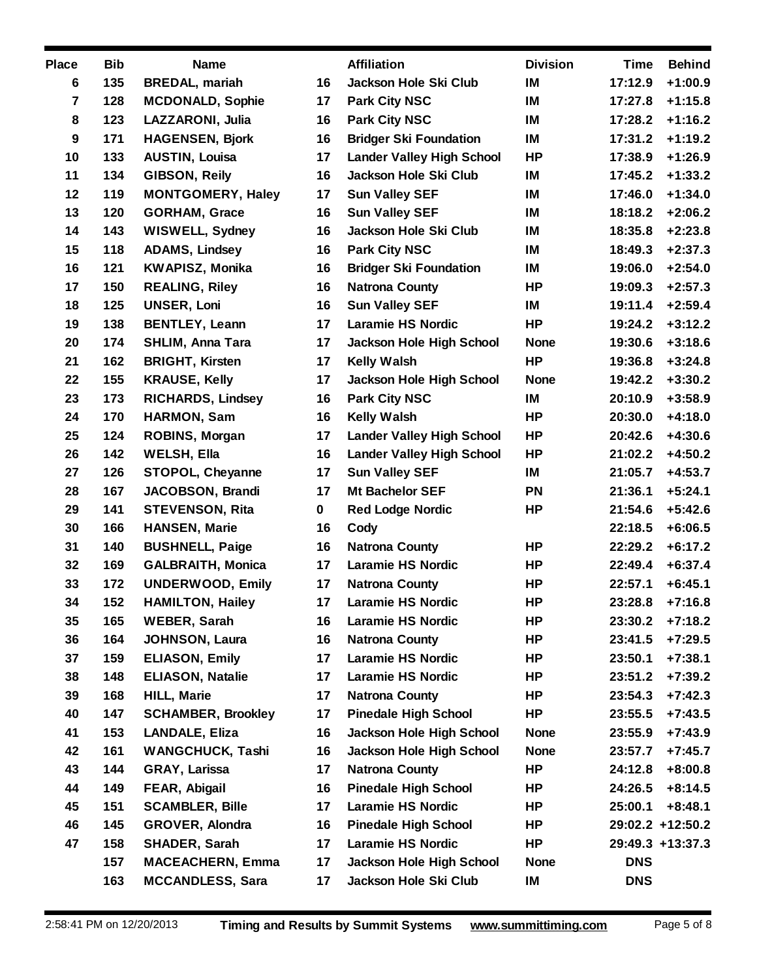| <b>Place</b>     | <b>Bib</b> | <b>Name</b>               |    | <b>Affiliation</b>               | <b>Division</b> | Time       | <b>Behind</b>    |
|------------------|------------|---------------------------|----|----------------------------------|-----------------|------------|------------------|
| 6                | 135        | <b>BREDAL, mariah</b>     | 16 | Jackson Hole Ski Club            | IM              | 17:12.9    | $+1:00.9$        |
| $\overline{7}$   | 128        | <b>MCDONALD, Sophie</b>   | 17 | <b>Park City NSC</b>             | IM              | 17:27.8    | $+1:15.8$        |
| 8                | 123        | LAZZARONI, Julia          | 16 | <b>Park City NSC</b>             | IM              | 17:28.2    | $+1:16.2$        |
| $\boldsymbol{9}$ | 171        | <b>HAGENSEN, Bjork</b>    | 16 | <b>Bridger Ski Foundation</b>    | IM              | 17:31.2    | $+1:19.2$        |
| 10               | 133        | <b>AUSTIN, Louisa</b>     | 17 | <b>Lander Valley High School</b> | HP              | 17:38.9    | $+1:26.9$        |
| 11               | 134        | GIBSON, Reily             | 16 | Jackson Hole Ski Club            | IM              | 17:45.2    | $+1:33.2$        |
| 12               | 119        | <b>MONTGOMERY, Haley</b>  | 17 | <b>Sun Valley SEF</b>            | IM              | 17:46.0    | $+1:34.0$        |
| 13               | 120        | <b>GORHAM, Grace</b>      | 16 | <b>Sun Valley SEF</b>            | IM              | 18:18.2    | $+2:06.2$        |
| 14               | 143        | WISWELL, Sydney           | 16 | <b>Jackson Hole Ski Club</b>     | IM              | 18:35.8    | $+2:23.8$        |
| 15               | 118        | <b>ADAMS, Lindsey</b>     | 16 | <b>Park City NSC</b>             | IM              | 18:49.3    | $+2:37.3$        |
| 16               | 121        | <b>KWAPISZ, Monika</b>    | 16 | <b>Bridger Ski Foundation</b>    | IM              | 19:06.0    | $+2:54.0$        |
| 17               | 150        | <b>REALING, Riley</b>     | 16 | <b>Natrona County</b>            | HP              | 19:09.3    | $+2:57.3$        |
| 18               | 125        | <b>UNSER, Loni</b>        | 16 | <b>Sun Valley SEF</b>            | IM              | 19:11.4    | $+2:59.4$        |
| 19               | 138        | <b>BENTLEY, Leann</b>     | 17 | <b>Laramie HS Nordic</b>         | <b>HP</b>       | 19:24.2    | $+3:12.2$        |
| 20               | 174        | <b>SHLIM, Anna Tara</b>   | 17 | <b>Jackson Hole High School</b>  | <b>None</b>     | 19:30.6    | $+3:18.6$        |
| 21               | 162        | <b>BRIGHT, Kirsten</b>    | 17 | Kelly Walsh                      | <b>HP</b>       | 19:36.8    | $+3:24.8$        |
| 22               | 155        | <b>KRAUSE, Kelly</b>      | 17 | <b>Jackson Hole High School</b>  | <b>None</b>     | 19:42.2    | $+3:30.2$        |
| 23               | 173        | <b>RICHARDS, Lindsey</b>  | 16 | <b>Park City NSC</b>             | IM              | 20:10.9    | $+3:58.9$        |
| 24               | 170        | <b>HARMON, Sam</b>        | 16 | <b>Kelly Walsh</b>               | <b>HP</b>       | 20:30.0    | $+4:18.0$        |
| 25               | 124        | ROBINS, Morgan            | 17 | <b>Lander Valley High School</b> | HP              | 20:42.6    | $+4:30.6$        |
| 26               | 142        | <b>WELSH, Ella</b>        | 16 | <b>Lander Valley High School</b> | <b>HP</b>       | 21:02.2    | $+4:50.2$        |
| 27               | 126        | STOPOL, Cheyanne          | 17 | <b>Sun Valley SEF</b>            | IM              | 21:05.7    | $+4:53.7$        |
| 28               | 167        | <b>JACOBSON, Brandi</b>   | 17 | <b>Mt Bachelor SEF</b>           | PN              | 21:36.1    | $+5:24.1$        |
| 29               | 141        | <b>STEVENSON, Rita</b>    | 0  | <b>Red Lodge Nordic</b>          | HP              | 21:54.6    | $+5:42.6$        |
| 30               | 166        | <b>HANSEN, Marie</b>      | 16 | Cody                             |                 | 22:18.5    | $+6:06.5$        |
| 31               | 140        | <b>BUSHNELL, Paige</b>    | 16 | <b>Natrona County</b>            | HP              | 22:29.2    | $+6:17.2$        |
| 32               | 169        | <b>GALBRAITH, Monica</b>  | 17 | <b>Laramie HS Nordic</b>         | HP              | 22:49.4    | $+6:37.4$        |
| 33               | 172        | <b>UNDERWOOD, Emily</b>   | 17 | <b>Natrona County</b>            | HP              | 22:57.1    | $+6:45.1$        |
| 34               | 152        | <b>HAMILTON, Hailey</b>   | 17 | <b>Laramie HS Nordic</b>         | <b>HP</b>       | 23:28.8    | $+7:16.8$        |
| 35               | 165        | <b>WEBER, Sarah</b>       | 16 | <b>Laramie HS Nordic</b>         | HP              | 23:30.2    | $+7:18.2$        |
| 36               | 164        | <b>JOHNSON, Laura</b>     | 16 | <b>Natrona County</b>            | HP              | 23:41.5    | $+7:29.5$        |
| 37               | 159        | <b>ELIASON, Emily</b>     | 17 | <b>Laramie HS Nordic</b>         | HP              | 23:50.1    | $+7:38.1$        |
| 38               | 148        | <b>ELIASON, Natalie</b>   | 17 | <b>Laramie HS Nordic</b>         | HP              | 23:51.2    | $+7:39.2$        |
| 39               | 168        | <b>HILL, Marie</b>        | 17 | <b>Natrona County</b>            | HP              | 23:54.3    | $+7:42.3$        |
| 40               | 147        | <b>SCHAMBER, Brookley</b> | 17 | <b>Pinedale High School</b>      | HP              | 23:55.5    | $+7:43.5$        |
| 41               | 153        | <b>LANDALE, Eliza</b>     | 16 | <b>Jackson Hole High School</b>  | <b>None</b>     | 23:55.9    | $+7:43.9$        |
| 42               | 161        | <b>WANGCHUCK, Tashi</b>   | 16 | <b>Jackson Hole High School</b>  | <b>None</b>     | 23:57.7    | $+7:45.7$        |
| 43               | 144        | <b>GRAY, Larissa</b>      | 17 | <b>Natrona County</b>            | HP              | 24:12.8    | $+8:00.8$        |
| 44               | 149        | FEAR, Abigail             | 16 | <b>Pinedale High School</b>      | HP              | 24:26.5    | $+8:14.5$        |
| 45               | 151        | <b>SCAMBLER, Bille</b>    | 17 | <b>Laramie HS Nordic</b>         | HP              | 25:00.1    | $+8:48.1$        |
| 46               | 145        | <b>GROVER, Alondra</b>    | 16 | <b>Pinedale High School</b>      | HP              |            | 29:02.2 +12:50.2 |
| 47               | 158        | SHADER, Sarah             | 17 | <b>Laramie HS Nordic</b>         | HP              |            | 29:49.3 +13:37.3 |
|                  | 157        | <b>MACEACHERN, Emma</b>   | 17 | <b>Jackson Hole High School</b>  | <b>None</b>     | <b>DNS</b> |                  |
|                  | 163        | <b>MCCANDLESS, Sara</b>   | 17 | Jackson Hole Ski Club            | IM              | <b>DNS</b> |                  |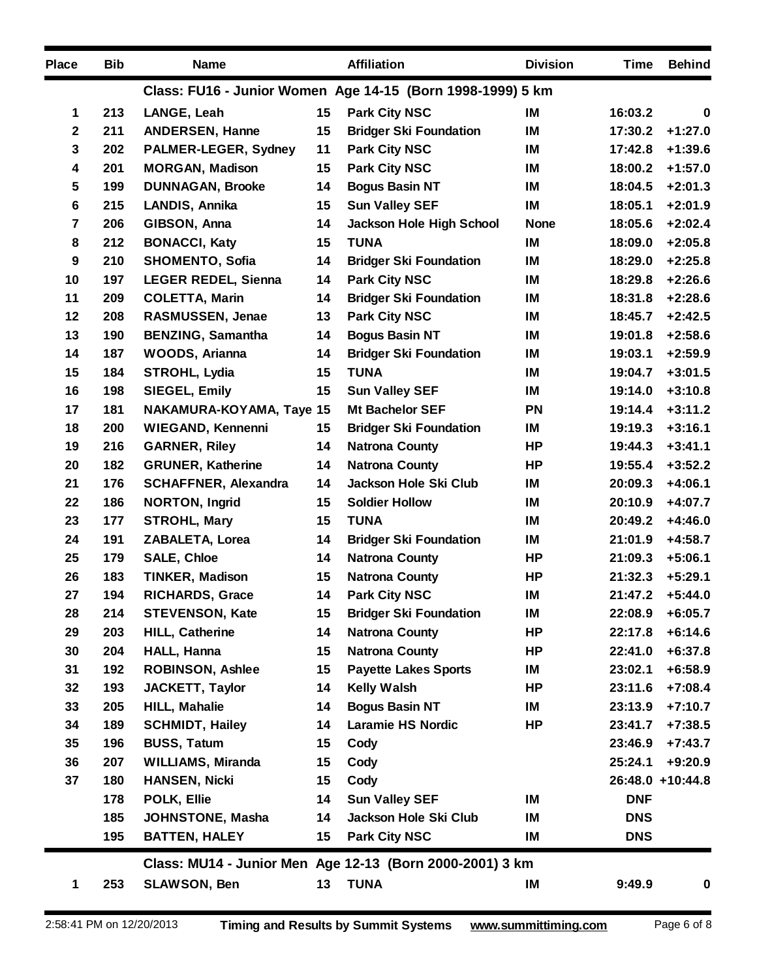| <b>Place</b>   | <b>Bib</b> | <b>Name</b>                     |    | <b>Affiliation</b>                                         | <b>Division</b> | Time       | <b>Behind</b>    |
|----------------|------------|---------------------------------|----|------------------------------------------------------------|-----------------|------------|------------------|
|                |            |                                 |    | Class: FU16 - Junior Women Age 14-15 (Born 1998-1999) 5 km |                 |            |                  |
| 1              | 213        | LANGE, Leah                     | 15 | <b>Park City NSC</b>                                       | IM              | 16:03.2    | $\mathbf 0$      |
| $\mathbf 2$    | 211        | <b>ANDERSEN, Hanne</b>          | 15 | <b>Bridger Ski Foundation</b>                              | IM              | 17:30.2    | $+1:27.0$        |
| 3              | 202        | PALMER-LEGER, Sydney            | 11 | <b>Park City NSC</b>                                       | IM              | 17:42.8    | $+1:39.6$        |
| 4              | 201        | <b>MORGAN, Madison</b>          | 15 | <b>Park City NSC</b>                                       | IM              | 18:00.2    | $+1:57.0$        |
| 5              | 199        | <b>DUNNAGAN, Brooke</b>         | 14 | <b>Bogus Basin NT</b>                                      | IM              | 18:04.5    | $+2:01.3$        |
| 6              | 215        | LANDIS, Annika                  | 15 | <b>Sun Valley SEF</b>                                      | IM              | 18:05.1    | $+2:01.9$        |
| $\overline{7}$ | 206        | GIBSON, Anna                    | 14 | <b>Jackson Hole High School</b>                            | <b>None</b>     | 18:05.6    | $+2:02.4$        |
| 8              | 212        | <b>BONACCI, Katy</b>            | 15 | <b>TUNA</b>                                                | IM              | 18:09.0    | $+2:05.8$        |
| 9              | 210        | <b>SHOMENTO, Sofia</b>          | 14 | <b>Bridger Ski Foundation</b>                              | IM              | 18:29.0    | $+2:25.8$        |
| 10             | 197        | <b>LEGER REDEL, Sienna</b>      | 14 | <b>Park City NSC</b>                                       | IM              | 18:29.8    | $+2:26.6$        |
| 11             | 209        | <b>COLETTA, Marin</b>           | 14 | <b>Bridger Ski Foundation</b>                              | IM              | 18:31.8    | $+2:28.6$        |
| 12             | 208        | RASMUSSEN, Jenae                | 13 | <b>Park City NSC</b>                                       | IM              | 18:45.7    | $+2:42.5$        |
| 13             | 190        | <b>BENZING, Samantha</b>        | 14 | <b>Bogus Basin NT</b>                                      | IM              | 19:01.8    | $+2:58.6$        |
| 14             | 187        | <b>WOODS, Arianna</b>           | 14 | <b>Bridger Ski Foundation</b>                              | IM              | 19:03.1    | $+2:59.9$        |
| 15             | 184        | <b>STROHL, Lydia</b>            | 15 | <b>TUNA</b>                                                | IM              | 19:04.7    | $+3:01.5$        |
| 16             | 198        | <b>SIEGEL, Emily</b>            | 15 | <b>Sun Valley SEF</b>                                      | IM              | 19:14.0    | $+3:10.8$        |
| 17             | 181        | <b>NAKAMURA-KOYAMA, Taye 15</b> |    | <b>Mt Bachelor SEF</b>                                     | PN              | 19:14.4    | $+3:11.2$        |
| 18             | 200        | <b>WIEGAND, Kennenni</b>        | 15 | <b>Bridger Ski Foundation</b>                              | IM              | 19:19.3    | $+3:16.1$        |
| 19             | 216        | <b>GARNER, Riley</b>            | 14 | <b>Natrona County</b>                                      | <b>HP</b>       | 19:44.3    | $+3:41.1$        |
| 20             | 182        | <b>GRUNER, Katherine</b>        | 14 | <b>Natrona County</b>                                      | <b>HP</b>       | 19:55.4    | $+3:52.2$        |
| 21             | 176        | <b>SCHAFFNER, Alexandra</b>     | 14 | Jackson Hole Ski Club                                      | IM              | 20:09.3    | $+4:06.1$        |
| 22             | 186        | <b>NORTON, Ingrid</b>           | 15 | <b>Soldier Hollow</b>                                      | IM              | 20:10.9    | $+4:07.7$        |
| 23             | 177        | <b>STROHL, Mary</b>             | 15 | <b>TUNA</b>                                                | IM              | 20:49.2    | $+4:46.0$        |
| 24             | 191        | ZABALETA, Lorea                 | 14 | <b>Bridger Ski Foundation</b>                              | IM              | 21:01.9    | $+4:58.7$        |
| 25             | 179        | <b>SALE, Chloe</b>              | 14 | <b>Natrona County</b>                                      | HP              | 21:09.3    | $+5:06.1$        |
| 26             | 183        | <b>TINKER, Madison</b>          | 15 | <b>Natrona County</b>                                      | <b>HP</b>       | 21:32.3    | $+5:29.1$        |
| 27             | 194        | RICHARDS, Grace                 | 14 | <b>Park City NSC</b>                                       | IM              | 21:47.2    | $+5:44.0$        |
| 28             | 214        | <b>STEVENSON, Kate</b>          | 15 | <b>Bridger Ski Foundation</b>                              | IM              | 22:08.9    | $+6:05.7$        |
| 29             | 203        | <b>HILL, Catherine</b>          | 14 | <b>Natrona County</b>                                      | HP              | 22:17.8    | $+6:14.6$        |
| 30             | 204        | <b>HALL, Hanna</b>              | 15 | <b>Natrona County</b>                                      | <b>HP</b>       | 22:41.0    | $+6:37.8$        |
| 31             | 192        | <b>ROBINSON, Ashlee</b>         | 15 | <b>Payette Lakes Sports</b>                                | IM              | 23:02.1    | $+6:58.9$        |
| 32             | 193        | <b>JACKETT, Taylor</b>          | 14 | <b>Kelly Walsh</b>                                         | <b>HP</b>       | 23:11.6    | $+7:08.4$        |
| 33             | 205        | HILL, Mahalie                   | 14 | <b>Bogus Basin NT</b>                                      | IM              | 23:13.9    | $+7:10.7$        |
| 34             | 189        | <b>SCHMIDT, Hailey</b>          | 14 | <b>Laramie HS Nordic</b>                                   | <b>HP</b>       | 23:41.7    | $+7:38.5$        |
| 35             | 196        | <b>BUSS, Tatum</b>              | 15 | Cody                                                       |                 | 23:46.9    | $+7:43.7$        |
| 36             | 207        | <b>WILLIAMS, Miranda</b>        | 15 | Cody                                                       |                 | 25:24.1    | $+9:20.9$        |
| 37             | 180        | <b>HANSEN, Nicki</b>            | 15 | Cody                                                       |                 |            | 26:48.0 +10:44.8 |
|                | 178        | POLK, Ellie                     | 14 | <b>Sun Valley SEF</b>                                      | IM              | <b>DNF</b> |                  |
|                | 185        | JOHNSTONE, Masha                | 14 | Jackson Hole Ski Club                                      | IM              | <b>DNS</b> |                  |
|                | 195        | <b>BATTEN, HALEY</b>            | 15 | <b>Park City NSC</b>                                       | IM              | <b>DNS</b> |                  |
|                |            |                                 |    | Class: MU14 - Junior Men Age 12-13 (Born 2000-2001) 3 km   |                 |            |                  |
| 1              | 253        | <b>SLAWSON, Ben</b>             | 13 | <b>TUNA</b>                                                | IM              | 9:49.9     | $\pmb{0}$        |
|                |            |                                 |    |                                                            |                 |            |                  |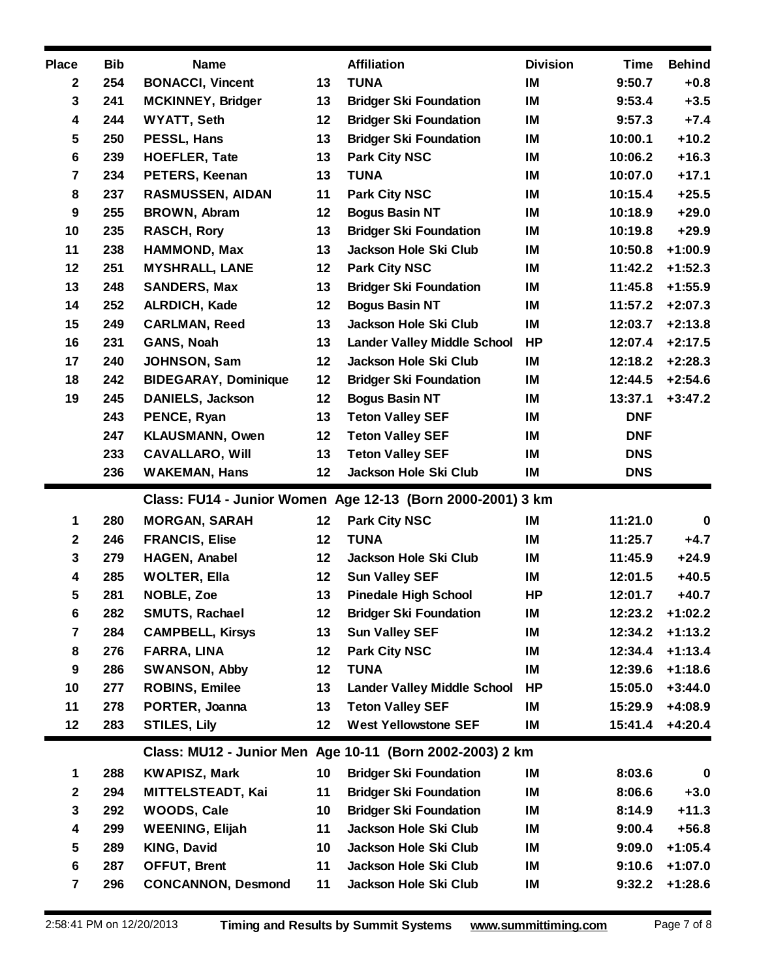| <b>Place</b>        | <b>Bib</b> | <b>Name</b>                               |          | <b>Affiliation</b>                                         | <b>Division</b> | <b>Time</b>      | <b>Behind</b>          |
|---------------------|------------|-------------------------------------------|----------|------------------------------------------------------------|-----------------|------------------|------------------------|
| $\mathbf{2}$        | 254        | <b>BONACCI, Vincent</b>                   | 13       | <b>TUNA</b>                                                | IM              | 9:50.7           | $+0.8$                 |
| 3                   | 241        | <b>MCKINNEY, Bridger</b>                  | 13       | <b>Bridger Ski Foundation</b>                              | IM              | 9:53.4           | $+3.5$                 |
| 4                   | 244        | <b>WYATT, Seth</b>                        | 12       | <b>Bridger Ski Foundation</b>                              | IM              | 9:57.3           | $+7.4$                 |
| $5\phantom{.0}$     | 250        | PESSL, Hans                               | 13       | <b>Bridger Ski Foundation</b>                              | IM              | 10:00.1          | $+10.2$                |
| 6                   | 239        | <b>HOEFLER, Tate</b>                      | 13       | <b>Park City NSC</b>                                       | IM              | 10:06.2          | $+16.3$                |
| $\overline{7}$      | 234        | <b>PETERS, Keenan</b>                     | 13       | <b>TUNA</b>                                                | IM              | 10:07.0          | $+17.1$                |
| 8                   | 237        | <b>RASMUSSEN, AIDAN</b>                   | 11       | <b>Park City NSC</b>                                       | IM              | 10:15.4          | $+25.5$                |
| $\boldsymbol{9}$    | 255        | <b>BROWN, Abram</b>                       | 12       | <b>Bogus Basin NT</b>                                      | IM              | 10:18.9          | $+29.0$                |
| 10                  | 235        | <b>RASCH, Rory</b>                        | 13       | <b>Bridger Ski Foundation</b>                              | IM              | 10:19.8          | $+29.9$                |
| 11                  | 238        | <b>HAMMOND, Max</b>                       | 13       | Jackson Hole Ski Club                                      | IM              | 10:50.8          | $+1:00.9$              |
| 12                  | 251        | <b>MYSHRALL, LANE</b>                     | 12       | <b>Park City NSC</b>                                       | IM              | 11:42.2          | $+1:52.3$              |
| 13                  | 248        | <b>SANDERS, Max</b>                       | 13       | <b>Bridger Ski Foundation</b>                              | IM              | 11:45.8          | $+1:55.9$              |
| 14                  | 252        | ALRDICH, Kade                             | 12       | <b>Bogus Basin NT</b>                                      | IM              | 11:57.2          | $+2:07.3$              |
| 15                  | 249        | <b>CARLMAN, Reed</b>                      | 13       | Jackson Hole Ski Club                                      | IM              | 12:03.7          | $+2:13.8$              |
| 16                  | 231        | GANS, Noah                                | 13       | <b>Lander Valley Middle School</b>                         | <b>HP</b>       | 12:07.4          | $+2:17.5$              |
| 17                  | 240        | <b>JOHNSON, Sam</b>                       | 12       | Jackson Hole Ski Club                                      | IM              | 12:18.2          | $+2:28.3$              |
| 18                  | 242        | <b>BIDEGARAY, Dominique</b>               | 12       | <b>Bridger Ski Foundation</b>                              | IM              | 12:44.5          | $+2:54.6$              |
| 19                  | 245        | <b>DANIELS, Jackson</b>                   | 12       | <b>Bogus Basin NT</b>                                      | IM              | 13:37.1          | $+3:47.2$              |
|                     | 243        | PENCE, Ryan                               | 13       | <b>Teton Valley SEF</b>                                    | IM              | <b>DNF</b>       |                        |
|                     | 247        | <b>KLAUSMANN, Owen</b>                    | 12       | <b>Teton Valley SEF</b>                                    | IM              | <b>DNF</b>       |                        |
|                     | 233        | <b>CAVALLARO, Will</b>                    | 13       | <b>Teton Valley SEF</b>                                    | IM              | <b>DNS</b>       |                        |
|                     | 236        | <b>WAKEMAN, Hans</b>                      | 12       | Jackson Hole Ski Club                                      | IM              | <b>DNS</b>       |                        |
|                     |            |                                           |          |                                                            |                 |                  |                        |
|                     |            |                                           |          | Class: FU14 - Junior Women Age 12-13 (Born 2000-2001) 3 km |                 |                  |                        |
| 1                   | 280        | <b>MORGAN, SARAH</b>                      | 12       | <b>Park City NSC</b>                                       | IM              | 11:21.0          | $\mathbf 0$            |
| $\mathbf 2$         | 246        | <b>FRANCIS, Elise</b>                     | 12       | <b>TUNA</b>                                                | IM              | 11:25.7          | $+4.7$                 |
| $\mathbf 3$         | 279        | HAGEN, Anabel                             | 12       | Jackson Hole Ski Club                                      | IM              | 11:45.9          | $+24.9$                |
| 4                   | 285        | <b>WOLTER, Ella</b>                       | 12       | <b>Sun Valley SEF</b>                                      | IM              | 12:01.5          | $+40.5$                |
| 5                   | 281        | NOBLE, Zoe                                | 13       | <b>Pinedale High School</b>                                | HP              | 12:01.7          | $+40.7$                |
| 6                   | 282        | SMUTS, Rachael                            | 12       | <b>Bridger Ski Foundation</b>                              | IM              | 12:23.2          | $+1:02.2$              |
| 7                   | 284        | <b>CAMPBELL, Kirsys</b>                   | 13       | <b>Sun Valley SEF</b>                                      | IM              | 12:34.2          | $+1:13.2$              |
| 8                   | 276        | FARRA, LINA                               | 12       | <b>Park City NSC</b>                                       | IM              | 12:34.4          | $+1:13.4$              |
| 9                   | 286        | SWANSON, Abby                             | 12       | <b>TUNA</b>                                                | IM              | 12:39.6          | $+1:18.6$              |
| 10                  | 277        | <b>ROBINS, Emilee</b>                     | 13       | <b>Lander Valley Middle School</b>                         | HP              | 15:05.0          | $+3:44.0$              |
| 11                  | 278        | PORTER, Joanna                            | 13       | <b>Teton Valley SEF</b>                                    | IM              | 15:29.9          | $+4:08.9$              |
| 12                  | 283        | <b>STILES, Lily</b>                       | 12       | <b>West Yellowstone SEF</b>                                | IM              | 15:41.4          | $+4:20.4$              |
|                     |            |                                           |          |                                                            |                 |                  |                        |
|                     |            |                                           |          | Class: MU12 - Junior Men Age 10-11 (Born 2002-2003) 2 km   |                 |                  |                        |
| 1                   | 288        | <b>KWAPISZ, Mark</b>                      | 10       | <b>Bridger Ski Foundation</b>                              | IM              | 8:03.6           | $\bf{0}$               |
| $\boldsymbol{2}$    | 294        | <b>MITTELSTEADT, Kai</b>                  | 11       | <b>Bridger Ski Foundation</b>                              | IM              | 8:06.6           | $+3.0$                 |
| $\mathbf 3$         | 292        | WOODS, Cale                               | 10       | <b>Bridger Ski Foundation</b>                              | IM              | 8:14.9           | $+11.3$                |
| 4                   | 299        | <b>WEENING, Elijah</b>                    | 11       | Jackson Hole Ski Club                                      | IM              | 9:00.4           | $+56.8$                |
| 5                   | 289        | <b>KING, David</b>                        | 10       | Jackson Hole Ski Club                                      | IM              | 9:09.0           | $+1:05.4$              |
| 6<br>$\overline{7}$ | 287<br>296 | OFFUT, Brent<br><b>CONCANNON, Desmond</b> | 11<br>11 | Jackson Hole Ski Club<br>Jackson Hole Ski Club             | IM<br>IM        | 9:10.6<br>9:32.2 | $+1:07.0$<br>$+1:28.6$ |